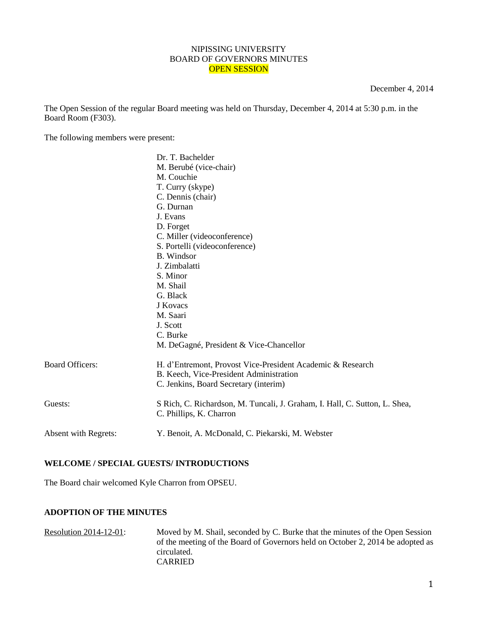#### NIPISSING UNIVERSITY BOARD OF GOVERNORS MINUTES OPEN SESSION

December 4, 2014

The Open Session of the regular Board meeting was held on Thursday, December 4, 2014 at 5:30 p.m. in the Board Room (F303).

The following members were present:

|                        | Dr. T. Bachelder                                                           |
|------------------------|----------------------------------------------------------------------------|
|                        | M. Berubé (vice-chair)                                                     |
|                        | M. Couchie                                                                 |
|                        | T. Curry (skype)                                                           |
|                        | C. Dennis (chair)                                                          |
|                        | G. Durnan                                                                  |
|                        | J. Evans                                                                   |
|                        | D. Forget                                                                  |
|                        | C. Miller (videoconference)                                                |
|                        | S. Portelli (videoconference)                                              |
|                        | <b>B.</b> Windsor                                                          |
|                        | J. Zimbalatti                                                              |
|                        | S. Minor                                                                   |
|                        | M. Shail                                                                   |
|                        | G. Black                                                                   |
|                        | J Kovacs                                                                   |
|                        | M. Saari                                                                   |
|                        | J. Scott                                                                   |
|                        | C. Burke                                                                   |
|                        | M. DeGagné, President & Vice-Chancellor                                    |
| <b>Board Officers:</b> | H. d'Entremont, Provost Vice-President Academic & Research                 |
|                        | B. Keech, Vice-President Administration                                    |
|                        | C. Jenkins, Board Secretary (interim)                                      |
| Guests:                | S Rich, C. Richardson, M. Tuncali, J. Graham, I. Hall, C. Sutton, L. Shea, |
|                        | C. Phillips, K. Charron                                                    |
| Absent with Regrets:   | Y. Benoit, A. McDonald, C. Piekarski, M. Webster                           |
|                        |                                                                            |

# **WELCOME / SPECIAL GUESTS/ INTRODUCTIONS**

The Board chair welcomed Kyle Charron from OPSEU.

### **ADOPTION OF THE MINUTES**

Resolution 2014-12-01: Moved by M. Shail, seconded by C. Burke that the minutes of the Open Session of the meeting of the Board of Governors held on October 2, 2014 be adopted as circulated. CARRIED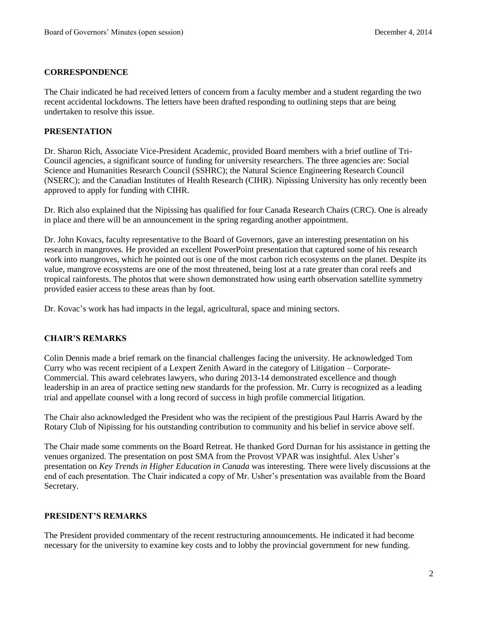## **CORRESPONDENCE**

The Chair indicated he had received letters of concern from a faculty member and a student regarding the two recent accidental lockdowns. The letters have been drafted responding to outlining steps that are being undertaken to resolve this issue.

## **PRESENTATION**

Dr. Sharon Rich, Associate Vice-President Academic, provided Board members with a brief outline of Tri-Council agencies, a significant source of funding for university researchers. The three agencies are: Social Science and Humanities Research Council (SSHRC); the Natural Science Engineering Research Council (NSERC); and the Canadian Institutes of Health Research (CIHR). Nipissing University has only recently been approved to apply for funding with CIHR.

Dr. Rich also explained that the Nipissing has qualified for four Canada Research Chairs (CRC). One is already in place and there will be an announcement in the spring regarding another appointment.

Dr. John Kovacs, faculty representative to the Board of Governors, gave an interesting presentation on his research in mangroves. He provided an excellent PowerPoint presentation that captured some of his research work into mangroves, which he pointed out is one of the most carbon rich ecosystems on the planet. Despite its value, mangrove ecosystems are one of the most threatened, being lost at a rate greater than coral reefs and tropical rainforests. The photos that were shown demonstrated how using earth observation satellite symmetry provided easier access to these areas than by foot.

Dr. Kovac's work has had impacts in the legal, agricultural, space and mining sectors.

# **CHAIR'S REMARKS**

Colin Dennis made a brief remark on the financial challenges facing the university. He acknowledged Tom Curry who was recent recipient of a Lexpert Zenith Award in the category of Litigation – Corporate-Commercial. This award celebrates lawyers, who during 2013-14 demonstrated excellence and though leadership in an area of practice setting new standards for the profession. Mr. Curry is recognized as a leading trial and appellate counsel with a long record of success in high profile commercial litigation.

The Chair also acknowledged the President who was the recipient of the prestigious Paul Harris Award by the Rotary Club of Nipissing for his outstanding contribution to community and his belief in service above self.

The Chair made some comments on the Board Retreat. He thanked Gord Durnan for his assistance in getting the venues organized. The presentation on post SMA from the Provost VPAR was insightful. Alex Usher's presentation on *Key Trends in Higher Education in Canada* was interesting. There were lively discussions at the end of each presentation. The Chair indicated a copy of Mr. Usher's presentation was available from the Board Secretary.

# **PRESIDENT'S REMARKS**

The President provided commentary of the recent restructuring announcements. He indicated it had become necessary for the university to examine key costs and to lobby the provincial government for new funding.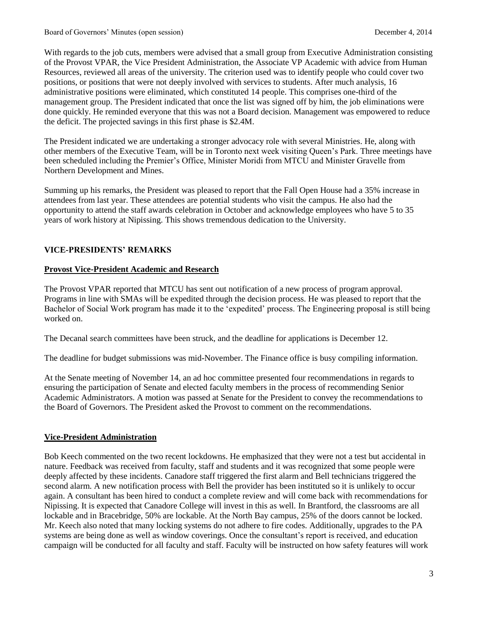With regards to the job cuts, members were advised that a small group from Executive Administration consisting of the Provost VPAR, the Vice President Administration, the Associate VP Academic with advice from Human Resources, reviewed all areas of the university. The criterion used was to identify people who could cover two positions, or positions that were not deeply involved with services to students. After much analysis, 16 administrative positions were eliminated, which constituted 14 people. This comprises one-third of the management group. The President indicated that once the list was signed off by him, the job eliminations were done quickly. He reminded everyone that this was not a Board decision. Management was empowered to reduce the deficit. The projected savings in this first phase is \$2.4M.

The President indicated we are undertaking a stronger advocacy role with several Ministries. He, along with other members of the Executive Team, will be in Toronto next week visiting Queen's Park. Three meetings have been scheduled including the Premier's Office, Minister Moridi from MTCU and Minister Gravelle from Northern Development and Mines.

Summing up his remarks, the President was pleased to report that the Fall Open House had a 35% increase in attendees from last year. These attendees are potential students who visit the campus. He also had the opportunity to attend the staff awards celebration in October and acknowledge employees who have 5 to 35 years of work history at Nipissing. This shows tremendous dedication to the University.

# **VICE-PRESIDENTS' REMARKS**

### **Provost Vice-President Academic and Research**

The Provost VPAR reported that MTCU has sent out notification of a new process of program approval. Programs in line with SMAs will be expedited through the decision process. He was pleased to report that the Bachelor of Social Work program has made it to the 'expedited' process. The Engineering proposal is still being worked on.

The Decanal search committees have been struck, and the deadline for applications is December 12.

The deadline for budget submissions was mid-November. The Finance office is busy compiling information.

At the Senate meeting of November 14, an ad hoc committee presented four recommendations in regards to ensuring the participation of Senate and elected faculty members in the process of recommending Senior Academic Administrators. A motion was passed at Senate for the President to convey the recommendations to the Board of Governors. The President asked the Provost to comment on the recommendations.

### **Vice-President Administration**

Bob Keech commented on the two recent lockdowns. He emphasized that they were not a test but accidental in nature. Feedback was received from faculty, staff and students and it was recognized that some people were deeply affected by these incidents. Canadore staff triggered the first alarm and Bell technicians triggered the second alarm. A new notification process with Bell the provider has been instituted so it is unlikely to occur again. A consultant has been hired to conduct a complete review and will come back with recommendations for Nipissing. It is expected that Canadore College will invest in this as well. In Brantford, the classrooms are all lockable and in Bracebridge, 50% are lockable. At the North Bay campus, 25% of the doors cannot be locked. Mr. Keech also noted that many locking systems do not adhere to fire codes. Additionally, upgrades to the PA systems are being done as well as window coverings. Once the consultant's report is received, and education campaign will be conducted for all faculty and staff. Faculty will be instructed on how safety features will work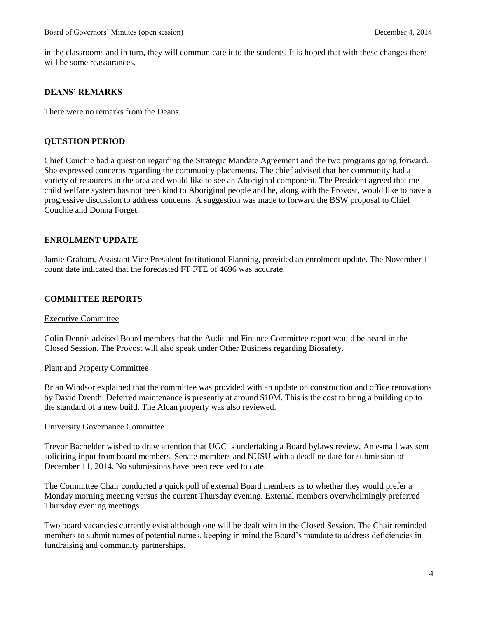in the classrooms and in turn, they will communicate it to the students. It is hoped that with these changes there will be some reassurances.

# **DEANS' REMARKS**

There were no remarks from the Deans.

## **QUESTION PERIOD**

Chief Couchie had a question regarding the Strategic Mandate Agreement and the two programs going forward. She expressed concerns regarding the community placements. The chief advised that her community had a variety of resources in the area and would like to see an Aboriginal component. The President agreed that the child welfare system has not been kind to Aboriginal people and he, along with the Provost, would like to have a progressive discussion to address concerns. A suggestion was made to forward the BSW proposal to Chief Couchie and Donna Forget.

## **ENROLMENT UPDATE**

Jamie Graham, Assistant Vice President Institutional Planning, provided an enrolment update. The November 1 count date indicated that the forecasted FT FTE of 4696 was accurate.

### **COMMITTEE REPORTS**

#### Executive Committee

Colin Dennis advised Board members that the Audit and Finance Committee report would be heard in the Closed Session. The Provost will also speak under Other Business regarding Biosafety.

#### Plant and Property Committee

Brian Windsor explained that the committee was provided with an update on construction and office renovations by David Drenth. Deferred maintenance is presently at around \$10M. This is the cost to bring a building up to the standard of a new build. The Alcan property was also reviewed.

#### University Governance Committee

Trevor Bachelder wished to draw attention that UGC is undertaking a Board bylaws review. An e-mail was sent soliciting input from board members, Senate members and NUSU with a deadline date for submission of December 11, 2014. No submissions have been received to date.

The Committee Chair conducted a quick poll of external Board members as to whether they would prefer a Monday morning meeting versus the current Thursday evening. External members overwhelmingly preferred Thursday evening meetings.

Two board vacancies currently exist although one will be dealt with in the Closed Session. The Chair reminded members to submit names of potential names, keeping in mind the Board's mandate to address deficiencies in fundraising and community partnerships.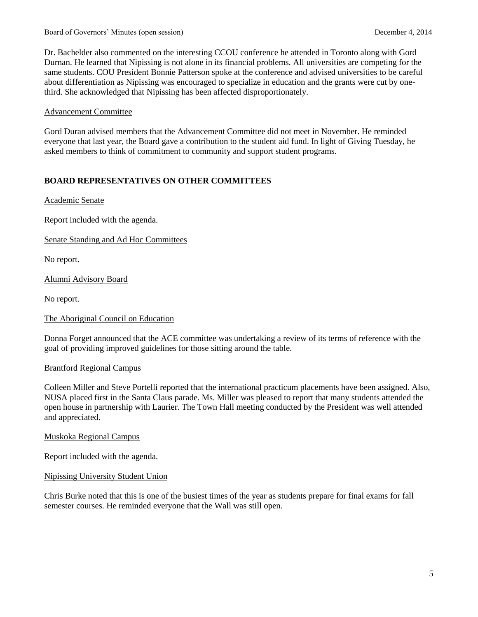Board of Governors' Minutes (open session) December 4, 2014

Dr. Bachelder also commented on the interesting CCOU conference he attended in Toronto along with Gord Durnan. He learned that Nipissing is not alone in its financial problems. All universities are competing for the same students. COU President Bonnie Patterson spoke at the conference and advised universities to be careful about differentiation as Nipissing was encouraged to specialize in education and the grants were cut by onethird. She acknowledged that Nipissing has been affected disproportionately.

## Advancement Committee

Gord Duran advised members that the Advancement Committee did not meet in November. He reminded everyone that last year, the Board gave a contribution to the student aid fund. In light of Giving Tuesday, he asked members to think of commitment to community and support student programs.

# **BOARD REPRESENTATIVES ON OTHER COMMITTEES**

Academic Senate

Report included with the agenda.

Senate Standing and Ad Hoc Committees

No report.

Alumni Advisory Board

No report.

### The Aboriginal Council on Education

Donna Forget announced that the ACE committee was undertaking a review of its terms of reference with the goal of providing improved guidelines for those sitting around the table.

### Brantford Regional Campus

Colleen Miller and Steve Portelli reported that the international practicum placements have been assigned. Also, NUSA placed first in the Santa Claus parade. Ms. Miller was pleased to report that many students attended the open house in partnership with Laurier. The Town Hall meeting conducted by the President was well attended and appreciated.

### Muskoka Regional Campus

Report included with the agenda.

### Nipissing University Student Union

Chris Burke noted that this is one of the busiest times of the year as students prepare for final exams for fall semester courses. He reminded everyone that the Wall was still open.